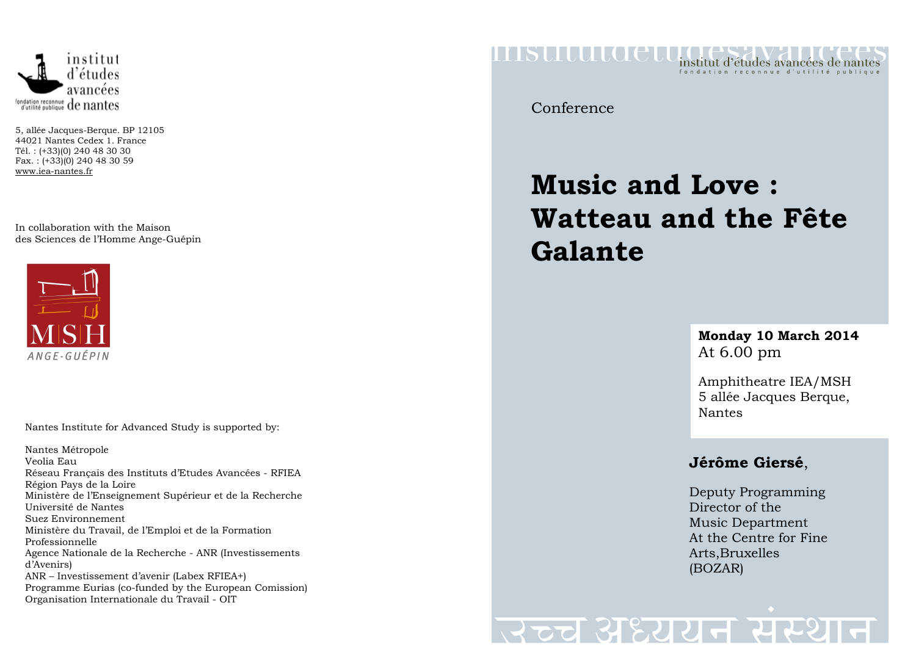

5, allée Jacques-Berque. BP 12105 44021 Nantes Cedex 1. France Tél. : (+33)(0) 240 48 30 30 Fax. : (+33)(0) 240 48 30 59 www.iea-nantes.fr

In collaboration with the Maison des Sciences de l'Homme Ange-Guépin



Nantes Institute for Advanced Study is supported by:

Nantes Métropole Veolia Eau Réseau Français des Instituts d'Etudes Avancées - RFIEA Région Pays de la Loire Ministère de l'Enseignement Supérieur et de la Recherche Université de Nantes Suez Environnement Ministère du Travail, de l'Emploi et de la Formation Professionnelle Agence Nationale de la Recherche - ANR (Investissements d'Avenirs) ANR – Investissement d'avenir (Labex RFIEA+) Programme Eurias (co-funded by the European Comission) Organisation Internationale du Travail - OIT

ITASULULO CLU institut d'études avancées de nantes

Conference

## **Music and Love : Watteau and the Fête Galante**

#### **Monday 10 March 2014** At 6.00 pm

Amphitheatre IEA/MSH 5 allée Jacques Berque, Nantes

#### **Jérôme Giersé**,

Deputy Programming Director of the Music Department At the Centre for Fine Arts,Bruxelles (BOZAR)

# स्टच अध्ययन संस्थ